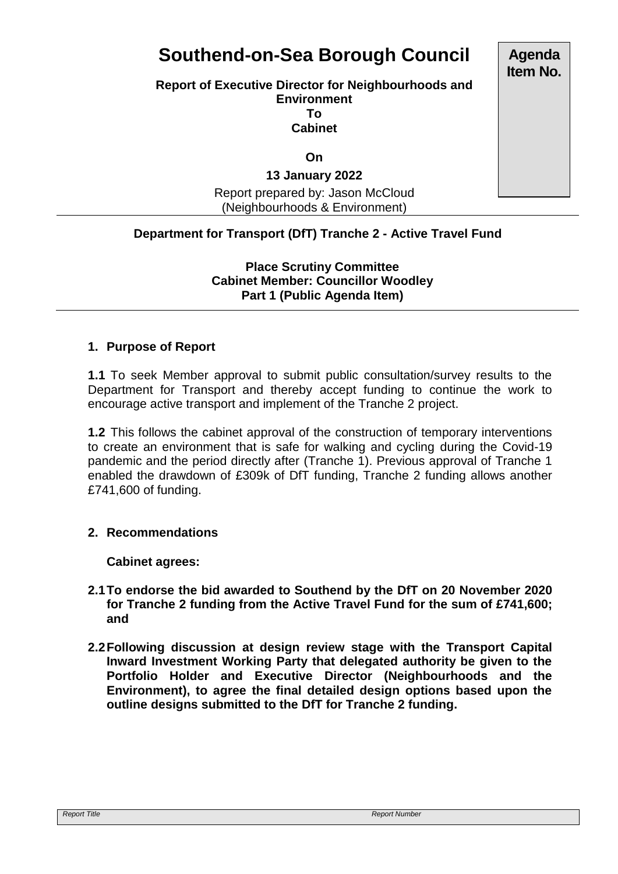# **Southend-on-Sea Borough Council**

#### **Report of Executive Director for Neighbourhoods and Environment To Cabinet**

**On**

# **13 January 2022**

Report prepared by: Jason McCloud (Neighbourhoods & Environment)

# **Department for Transport (DfT) Tranche 2 - Active Travel Fund**

**Place Scrutiny Committee Cabinet Member: Councillor Woodley Part 1 (Public Agenda Item)** 

### **1. Purpose of Report**

**1.1** To seek Member approval to submit public consultation/survey results to the Department for Transport and thereby accept funding to continue the work to encourage active transport and implement of the Tranche 2 project.

**1.2** This follows the cabinet approval of the construction of temporary interventions to create an environment that is safe for walking and cycling during the Covid-19 pandemic and the period directly after (Tranche 1). Previous approval of Tranche 1 enabled the drawdown of £309k of DfT funding, Tranche 2 funding allows another £741,600 of funding.

### **2. Recommendations**

**Cabinet agrees:**

- **2.1To endorse the bid awarded to Southend by the DfT on 20 November 2020 for Tranche 2 funding from the Active Travel Fund for the sum of £741,600; and**
- **2.2Following discussion at design review stage with the Transport Capital Inward Investment Working Party that delegated authority be given to the Portfolio Holder and Executive Director (Neighbourhoods and the Environment), to agree the final detailed design options based upon the outline designs submitted to the DfT for Tranche 2 funding.**

**Agenda Item No.**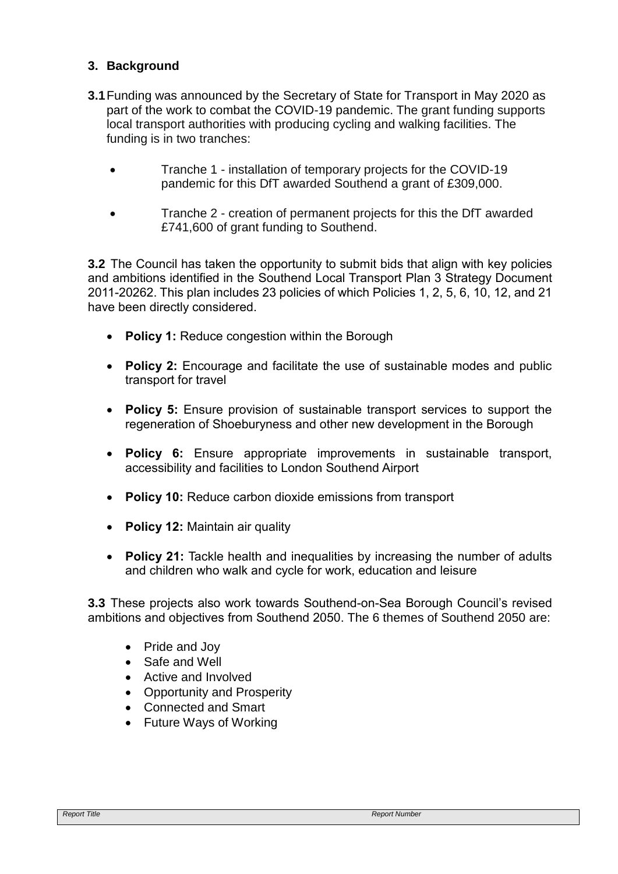# **3. Background**

- **3.1**Funding was announced by the Secretary of State for Transport in May 2020 as part of the work to combat the COVID-19 pandemic. The grant funding supports local transport authorities with producing cycling and walking facilities. The funding is in two tranches:
	- Tranche 1 installation of temporary projects for the COVID-19 pandemic for this DfT awarded Southend a grant of £309,000.
	- Tranche 2 creation of permanent projects for this the DfT awarded £741,600 of grant funding to Southend.

**3.2** The Council has taken the opportunity to submit bids that align with key policies and ambitions identified in the Southend Local Transport Plan 3 Strategy Document 2011-20262. This plan includes 23 policies of which Policies 1, 2, 5, 6, 10, 12, and 21 have been directly considered.

- **Policy 1:** Reduce congestion within the Borough
- **Policy 2:** Encourage and facilitate the use of sustainable modes and public transport for travel
- **Policy 5:** Ensure provision of sustainable transport services to support the regeneration of Shoeburyness and other new development in the Borough
- **Policy 6:** Ensure appropriate improvements in sustainable transport, accessibility and facilities to London Southend Airport
- **Policy 10:** Reduce carbon dioxide emissions from transport
- **Policy 12:** Maintain air quality
- **Policy 21:** Tackle health and inequalities by increasing the number of adults and children who walk and cycle for work, education and leisure

**3.3** These projects also work towards Southend-on-Sea Borough Council's revised ambitions and objectives from Southend 2050. The 6 themes of Southend 2050 are:

- Pride and Joy
- Safe and Well
- Active and Involved
- Opportunity and Prosperity
- Connected and Smart
- Future Ways of Working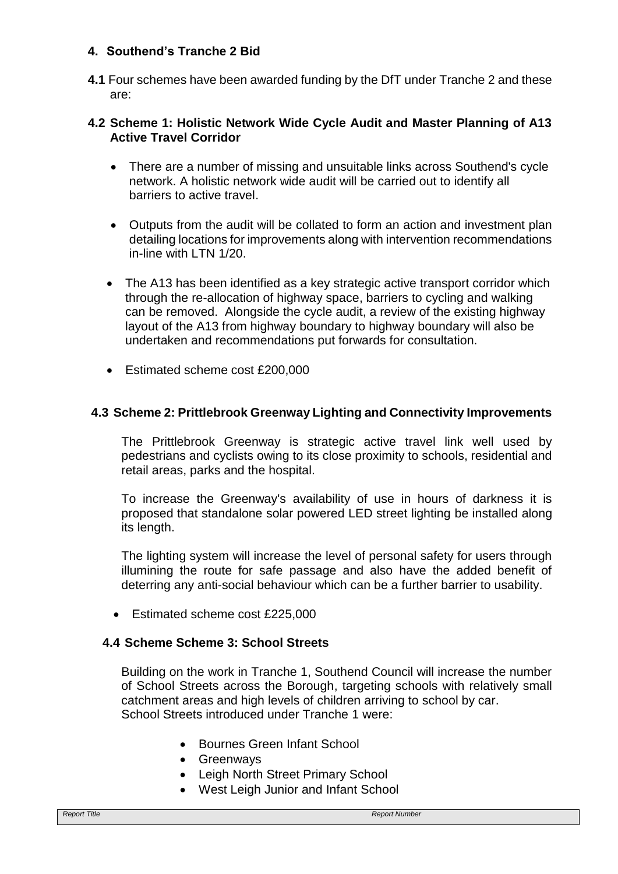# **4. Southend's Tranche 2 Bid**

**4.1** Four schemes have been awarded funding by the DfT under Tranche 2 and these are:

### **4.2 Scheme 1: Holistic Network Wide Cycle Audit and Master Planning of A13 Active Travel Corridor**

- There are a number of missing and unsuitable links across Southend's cycle network. A holistic network wide audit will be carried out to identify all barriers to active travel.
- Outputs from the audit will be collated to form an action and investment plan detailing locations for improvements along with intervention recommendations in-line with LTN 1/20.
- The A13 has been identified as a key strategic active transport corridor which through the re-allocation of highway space, barriers to cycling and walking can be removed. Alongside the cycle audit, a review of the existing highway layout of the A13 from highway boundary to highway boundary will also be undertaken and recommendations put forwards for consultation.
- Estimated scheme cost £200,000

# **4.3 Scheme 2: Prittlebrook Greenway Lighting and Connectivity Improvements**

The Prittlebrook Greenway is strategic active travel link well used by pedestrians and cyclists owing to its close proximity to schools, residential and retail areas, parks and the hospital.

To increase the Greenway's availability of use in hours of darkness it is proposed that standalone solar powered LED street lighting be installed along its length.

The lighting system will increase the level of personal safety for users through illumining the route for safe passage and also have the added benefit of deterring any anti-social behaviour which can be a further barrier to usability.

Estimated scheme cost £225,000

# **4.4 Scheme Scheme 3: School Streets**

Building on the work in Tranche 1, Southend Council will increase the number of School Streets across the Borough, targeting schools with relatively small catchment areas and high levels of children arriving to school by car. School Streets introduced under Tranche 1 were:

- Bournes Green Infant School
- Greenways
- Leigh North Street Primary School
- West Leigh Junior and Infant School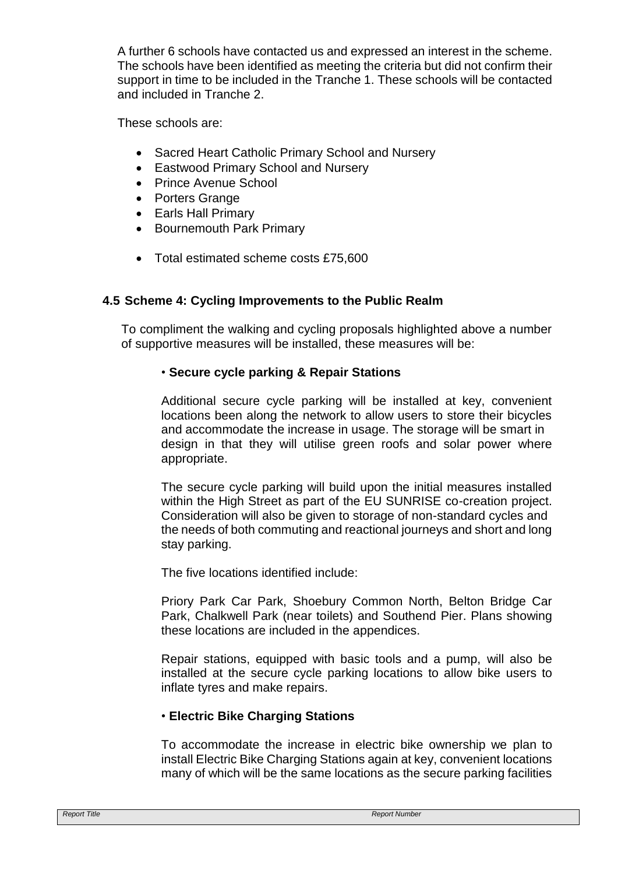A further 6 schools have contacted us and expressed an interest in the scheme. The schools have been identified as meeting the criteria but did not confirm their support in time to be included in the Tranche 1. These schools will be contacted and included in Tranche 2.

These schools are:

- Sacred Heart Catholic Primary School and Nursery
- Eastwood Primary School and Nursery
- Prince Avenue School
- Porters Grange
- Earls Hall Primary
- Bournemouth Park Primary
- Total estimated scheme costs £75,600

# **4.5 Scheme 4: Cycling Improvements to the Public Realm**

To compliment the walking and cycling proposals highlighted above a number of supportive measures will be installed, these measures will be:

# • **Secure cycle parking & Repair Stations**

Additional secure cycle parking will be installed at key, convenient locations been along the network to allow users to store their bicycles and accommodate the increase in usage. The storage will be smart in design in that they will utilise green roofs and solar power where appropriate.

The secure cycle parking will build upon the initial measures installed within the High Street as part of the EU SUNRISE co-creation project. Consideration will also be given to storage of non-standard cycles and the needs of both commuting and reactional journeys and short and long stay parking.

The five locations identified include:

Priory Park Car Park, Shoebury Common North, Belton Bridge Car Park, Chalkwell Park (near toilets) and Southend Pier. Plans showing these locations are included in the appendices.

Repair stations, equipped with basic tools and a pump, will also be installed at the secure cycle parking locations to allow bike users to inflate tyres and make repairs.

# • **Electric Bike Charging Stations**

To accommodate the increase in electric bike ownership we plan to install Electric Bike Charging Stations again at key, convenient locations many of which will be the same locations as the secure parking facilities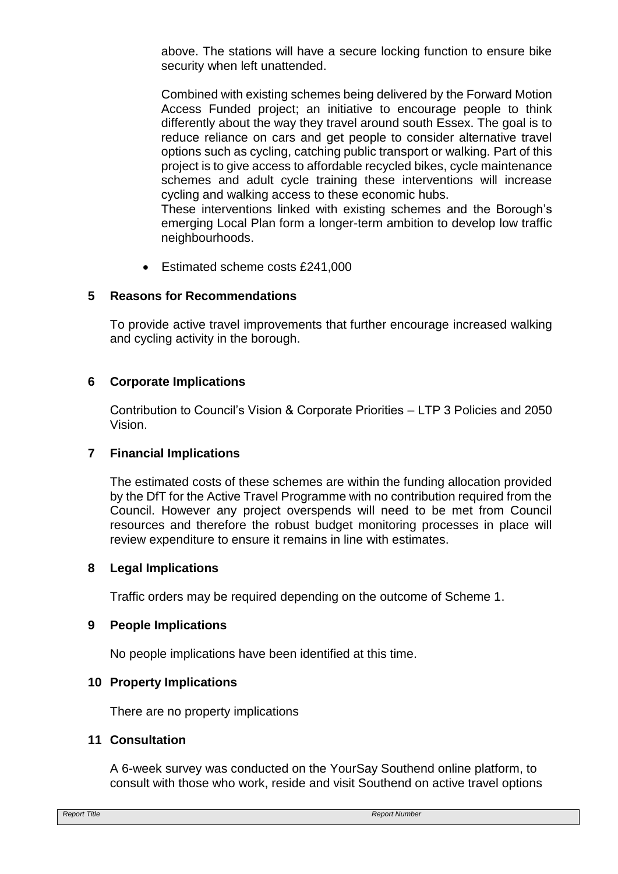above. The stations will have a secure locking function to ensure bike security when left unattended.

Combined with existing schemes being delivered by the Forward Motion Access Funded project; an initiative to encourage people to think differently about the way they travel around south Essex. The goal is to reduce reliance on cars and get people to consider alternative travel options such as cycling, catching public transport or walking. Part of this project is to give access to affordable recycled bikes, cycle maintenance schemes and adult cycle training these interventions will increase cycling and walking access to these economic hubs.

These interventions linked with existing schemes and the Borough's emerging Local Plan form a longer-term ambition to develop low traffic neighbourhoods.

• Estimated scheme costs £241,000

# **5 Reasons for Recommendations**

To provide active travel improvements that further encourage increased walking and cycling activity in the borough.

# **6 Corporate Implications**

Contribution to Council's Vision & Corporate Priorities – LTP 3 Policies and 2050 Vision.

### **7 Financial Implications**

The estimated costs of these schemes are within the funding allocation provided by the DfT for the Active Travel Programme with no contribution required from the Council. However any project overspends will need to be met from Council resources and therefore the robust budget monitoring processes in place will review expenditure to ensure it remains in line with estimates.

### **8 Legal Implications**

Traffic orders may be required depending on the outcome of Scheme 1.

### **9 People Implications**

No people implications have been identified at this time.

### **10 Property Implications**

There are no property implications

### **11 Consultation**

A 6-week survey was conducted on the YourSay Southend online platform, to consult with those who work, reside and visit Southend on active travel options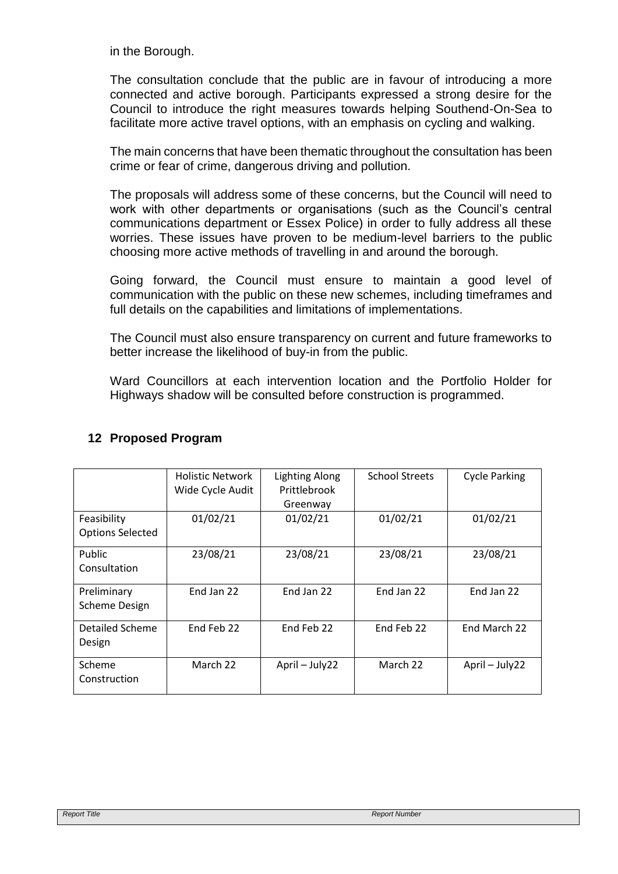in the Borough.

The consultation conclude that the public are in favour of introducing a more connected and active borough. Participants expressed a strong desire for the Council to introduce the right measures towards helping Southend-On-Sea to facilitate more active travel options, with an emphasis on cycling and walking.

The main concerns that have been thematic throughout the consultation has been crime or fear of crime, dangerous driving and pollution.

The proposals will address some of these concerns, but the Council will need to work with other departments or organisations (such as the Council's central communications department or Essex Police) in order to fully address all these worries. These issues have proven to be medium-level barriers to the public choosing more active methods of travelling in and around the borough.

Going forward, the Council must ensure to maintain a good level of communication with the public on these new schemes, including timeframes and full details on the capabilities and limitations of implementations.

The Council must also ensure transparency on current and future frameworks to better increase the likelihood of buy-in from the public.

Ward Councillors at each intervention location and the Portfolio Holder for Highways shadow will be consulted before construction is programmed.

| <b>Holistic Network</b> | <b>Lighting Along</b><br>Prittlebrook | <b>School Streets</b> | <b>Cycle Parking</b> |
|-------------------------|---------------------------------------|-----------------------|----------------------|
|                         | Greenway                              |                       |                      |
| 01/02/21                | 01/02/21                              | 01/02/21              | 01/02/21             |
|                         |                                       |                       |                      |
| 23/08/21                | 23/08/21                              | 23/08/21              | 23/08/21             |
|                         |                                       |                       |                      |
| End Jan 22              | End Jan 22                            | End Jan 22            | End Jan 22           |
|                         |                                       |                       |                      |
| End Feb 22              | End Feb 22                            | End Feb 22            | End March 22         |
|                         |                                       |                       |                      |
| March 22                | April - July22                        | March 22              | April - July22       |
|                         |                                       |                       |                      |
|                         | Wide Cycle Audit                      |                       |                      |

# **12 Proposed Program**